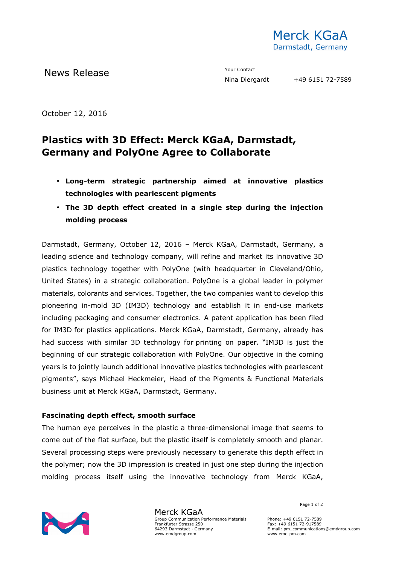

News Release The Contact Terms of the Means of the Means of the Vour Contact

October 12, 2016

# **Plastics with 3D Effect: Merck KGaA, Darmstadt, Germany and PolyOne Agree to Collaborate**

- **Long-term strategic partnership aimed at innovative plastics technologies with pearlescent pigments**
- **The 3D depth effect created in a single step during the injection molding process**

Darmstadt, Germany, October 12, 2016 – Merck KGaA, Darmstadt, Germany, a leading science and technology company, will refine and market its innovative 3D plastics technology together with PolyOne (with headquarter in Cleveland/Ohio, United States) in a strategic collaboration. PolyOne is a global leader in polymer materials, colorants and services. Together, the two companies want to develop this pioneering in-mold 3D (IM3D) technology and establish it in end-use markets including packaging and consumer electronics. A patent application has been filed for IM3D for plastics applications. Merck KGaA, Darmstadt, Germany, already has had success with similar 3D technology for printing on paper. "IM3D is just the beginning of our strategic collaboration with PolyOne. Our objective in the coming years is to jointly launch additional innovative plastics technologies with pearlescent pigments", says Michael Heckmeier, Head of the Pigments & Functional Materials business unit at Merck KGaA, Darmstadt, Germany.

### **Fascinating depth effect, smooth surface**

The human eye perceives in the plastic a three-dimensional image that seems to come out of the flat surface, but the plastic itself is completely smooth and planar. Several processing steps were previously necessary to generate this depth effect in the polymer; now the 3D impression is created in just one step during the injection molding process itself using the innovative technology from Merck KGaA,



Merck KGaA Group Communication Performance Materials Frankfurter Strasse 250 64293 Darmstadt · Germany www.emdgroup.com

Page 1 of 2

Phone: +49 6151 72-7589 Fax: +49 6151 72-917589 E-mail: pm\_communications@emdgroup.com www.emd-pm.com